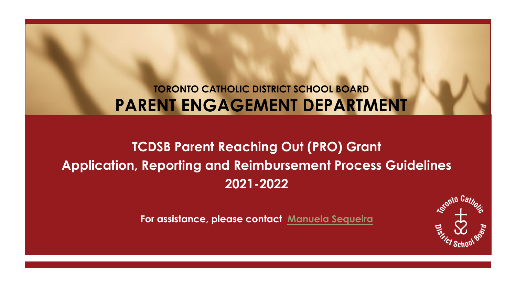### **TORONTO CATHOLIC DISTRICT SCHOOL BOARD PARENT ENGAGEMENT DEPARTMENT**

## **TCDSB Parent Reaching Out (PRO) Grant Application, Reporting and Reimbursement Process Guidelines 2021-2022**

**For assistance, please contact [Manuela Sequeira](mailto:manuela.sequeira@tcdsb.org)** 

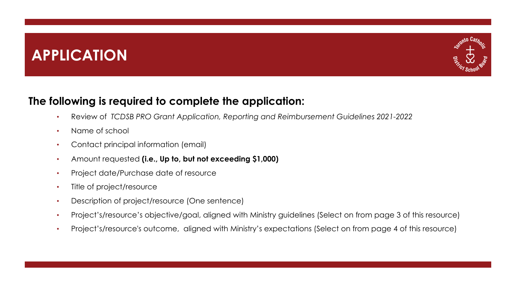## **APPLICATION**



### **The following is required to complete the application:**

- Review of *TCDSB PRO Grant Application, Reporting and Reimbursement Guidelines 2021-2022*
- Name of school
- Contact principal information (email)
- Amount requested **(i.e., Up to, but not exceeding \$1,000)**
- Project date/Purchase date of resource
- Title of project/resource
- Description of project/resource (One sentence)
- Project's/resource's objective/goal, aligned with Ministry guidelines (Select on from page 3 of this resource)
- Project's/resource's outcome, aligned with Ministry's expectations (Select on from page 4 of this resource)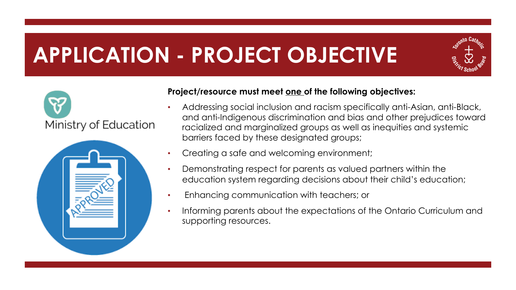# **APPLICATION - PROJECT OBJECTIVE**







#### **Project/resource must meet one of the following objectives:**

- Addressing social inclusion and racism specifically anti-Asian, anti-Black, and anti-Indigenous discrimination and bias and other prejudices toward racialized and marginalized groups as well as inequities and systemic barriers faced by these designated groups;
- Creating a safe and welcoming environment;
- Demonstrating respect for parents as valued partners within the education system regarding decisions about their child's education;
- Enhancing communication with teachers; or
- Informing parents about the expectations of the Ontario Curriculum and supporting resources.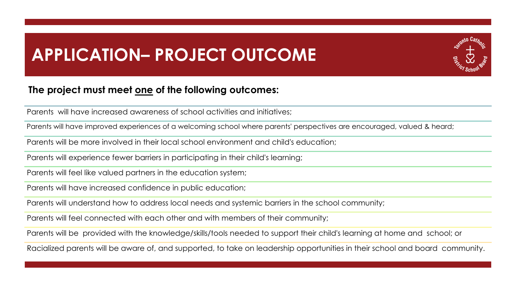## **APPLICATION– PROJECT OUTCOME**

#### **The project must meet one of the following outcomes:**

Parents will have increased awareness of school activities and initiatives;

Parents will have improved experiences of a welcoming school where parents' perspectives are encouraged, valued & heard;

Parents will be more involved in their local school environment and child's education;

Parents will experience fewer barriers in participating in their child's learning;

Parents will feel like valued partners in the education system;

Parents will have increased confidence in public education;

Parents will understand how to address local needs and systemic barriers in the school community;

Parents will feel connected with each other and with members of their community;

Parents will be provided with the knowledge/skills/tools needed to support their child's learning at home and school; or

Racialized parents will be aware of, and supported, to take on leadership opportunities in their school and board community.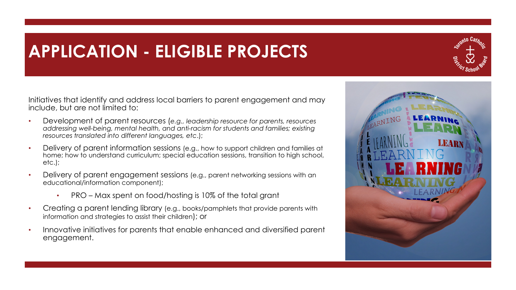## **APPLICATION - ELIGIBLE PROJECTS**



Initiatives that identify and address local barriers to parent engagement and may include, but are not limited to:

- Development of parent resources (*e.g., leadership resource for parents, resources addressing well-being, mental health, and anti-racism for students and families; existing resources translated into different languages, etc*.);
- Delivery of parent information sessions (e.g., how to support children and families at home; how to understand curriculum; special education sessions, transition to high school, etc.);
- Delivery of parent engagement sessions (e.g., parent networking sessions with an educational/information component);
	- PRO Max spent on food/hosting is 10% of the total grant
- Creating a parent lending library (e.g., books/pamphlets that provide parents with information and strategies to assist their children); or
- Innovative initiatives for parents that enable enhanced and diversified parent engagement.

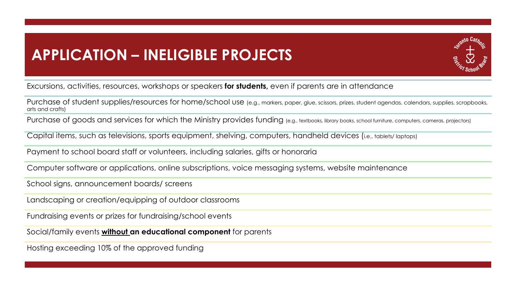### **APPLICATION – INELIGIBLE PROJECTS**



Excursions, activities, resources, workshops or speakers **for students,** even if parents are in attendance

Purchase of student supplies/resources for home/school use (e.g., markers, paper, glue, scissors, prizes, student agendas, calendars, supplies, scrapbooks, arts and crafts)

Purchase of goods and services for which the Ministry provides funding (e.g., textbooks, library books, school furniture, computers, cameras, projectors)

Capital items, such as televisions, sports equipment, shelving, computers, handheld devices (i.e., tablets/ laptops)

Payment to school board staff or volunteers, including salaries, gifts or honoraria

Computer software or applications, online subscriptions, voice messaging systems, website maintenance

School signs, announcement boards/ screens

Landscaping or creation/equipping of outdoor classrooms

Fundraising events or prizes for fundraising/school events

Social/family events **without an educational component** for parents

Hosting exceeding 10% of the approved funding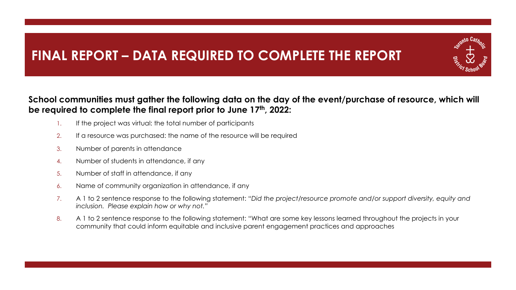### **FINAL REPORT – DATA REQUIRED TO COMPLETE THE REPORT**

#### **School communities must gather the following data on the day of the event/purchase of resource, which will be required to complete the final report prior to June 17th, 2022:**

- 1. If the project was virtual: the total number of participants
- 2. If a resource was purchased: the name of the resource will be required
- 3. Number of parents in attendance
- 4. Number of students in attendance, if any
- 5. Number of staff in attendance, if any
- 6. Name of community organization in attendance, if any
- 7. A 1 to 2 sentence response to the following statement: "*Did the project/resource promote and/or support diversity, equity and inclusion. Please explain how or why not."*
- 8. A 1 to 2 sentence response to the following statement: "What are some key lessons learned throughout the projects in your community that could inform equitable and inclusive parent engagement practices and approaches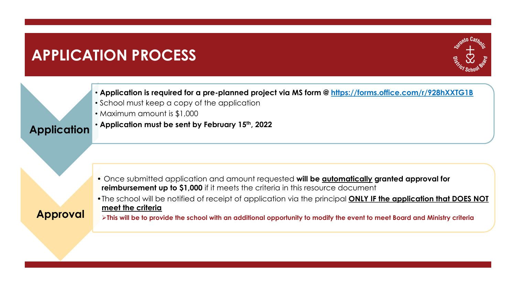## **APPLICATION PROCESS**



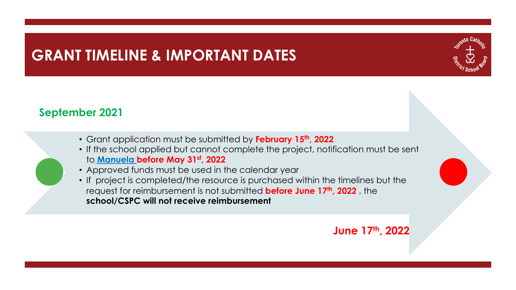## **GRANT TIMELINE & IMPORTANT DATES**



### **September 2021**

- Grant application must be submitted by **February 15th, 2022**
- If the school applied but cannot complete the project, notification must be sent to **[Manuela](mailto:manuela.sequeira@tcdsb.org) before May 31st, 2022**
- Approved funds must be used in the calendar year
- If project is completed/the resource is purchased within the timelines but the request for reimbursement is not submitted **before June 17th, 2022** , the **school/CSPC will not receive reimbursement**

**June 17th, 2022**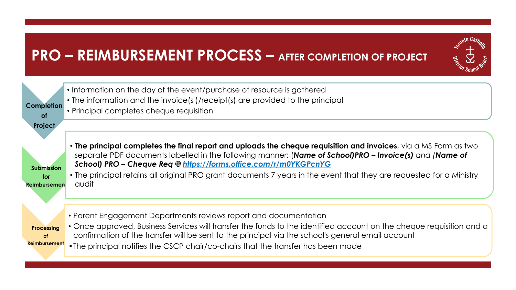